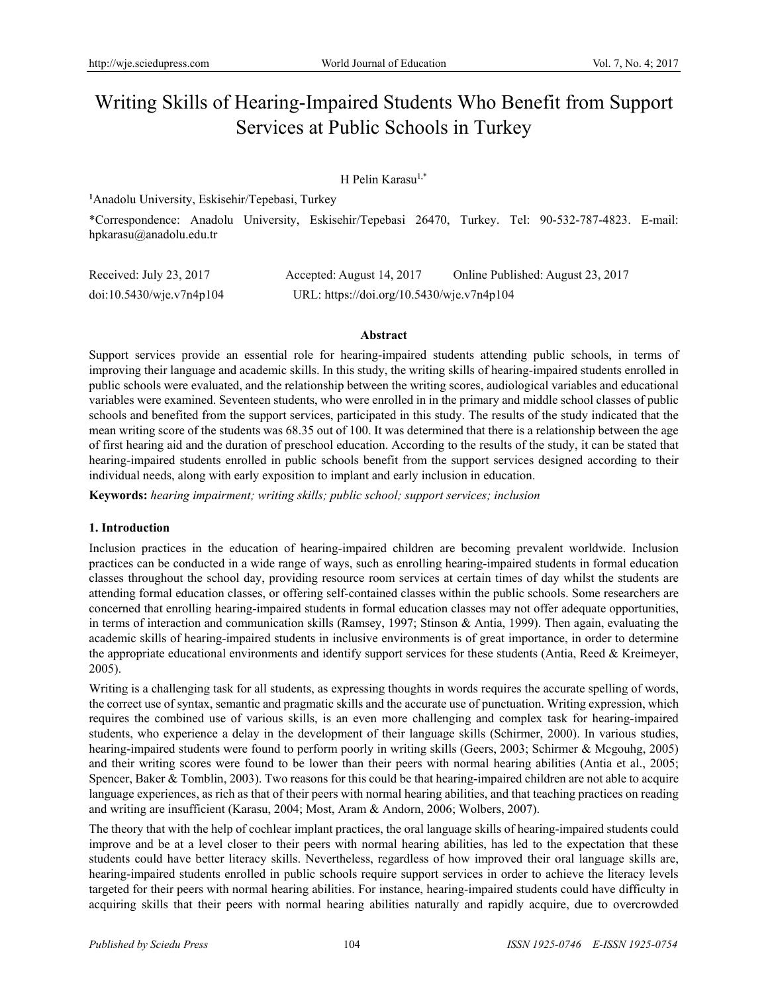# Writing Skills of Hearing-Impaired Students Who Benefit from Support Services at Public Schools in Turkey

# H Pelin Karasu<sup>1,\*</sup>

**1** Anadolu University, Eskisehir/Tepebasi, Turkey

\*Correspondence: Anadolu University, Eskisehir/Tepebasi 26470, Turkey. Tel: 90-532-787-4823. E-mail: hpkarasu@anadolu.edu.tr

| Received: July 23, 2017  | Accepted: August 14, 2017                 | Online Published: August 23, 2017 |
|--------------------------|-------------------------------------------|-----------------------------------|
| doi:10.5430/wje.v7n4p104 | URL: https://doi.org/10.5430/wje.v7n4p104 |                                   |

#### **Abstract**

Support services provide an essential role for hearing-impaired students attending public schools, in terms of improving their language and academic skills. In this study, the writing skills of hearing-impaired students enrolled in public schools were evaluated, and the relationship between the writing scores, audiological variables and educational variables were examined. Seventeen students, who were enrolled in in the primary and middle school classes of public schools and benefited from the support services, participated in this study. The results of the study indicated that the mean writing score of the students was 68.35 out of 100. It was determined that there is a relationship between the age of first hearing aid and the duration of preschool education. According to the results of the study, it can be stated that hearing-impaired students enrolled in public schools benefit from the support services designed according to their individual needs, along with early exposition to implant and early inclusion in education.

**Keywords:** *hearing impairment; writing skills; public school; support services; inclusion* 

### **1. Introduction**

Inclusion practices in the education of hearing-impaired children are becoming prevalent worldwide. Inclusion practices can be conducted in a wide range of ways, such as enrolling hearing-impaired students in formal education classes throughout the school day, providing resource room services at certain times of day whilst the students are attending formal education classes, or offering self-contained classes within the public schools. Some researchers are concerned that enrolling hearing-impaired students in formal education classes may not offer adequate opportunities, in terms of interaction and communication skills (Ramsey, 1997; Stinson & Antia, 1999). Then again, evaluating the academic skills of hearing-impaired students in inclusive environments is of great importance, in order to determine the appropriate educational environments and identify support services for these students (Antia, Reed  $\&$  Kreimeyer, 2005).

Writing is a challenging task for all students, as expressing thoughts in words requires the accurate spelling of words, the correct use of syntax, semantic and pragmatic skills and the accurate use of punctuation. Writing expression, which requires the combined use of various skills, is an even more challenging and complex task for hearing-impaired students, who experience a delay in the development of their language skills (Schirmer, 2000). In various studies, hearing-impaired students were found to perform poorly in writing skills (Geers, 2003; Schirmer & Mcgouhg, 2005) and their writing scores were found to be lower than their peers with normal hearing abilities (Antia et al., 2005; Spencer, Baker & Tomblin, 2003). Two reasons for this could be that hearing-impaired children are not able to acquire language experiences, as rich as that of their peers with normal hearing abilities, and that teaching practices on reading and writing are insufficient (Karasu, 2004; Most, Aram & Andorn, 2006; Wolbers, 2007).

The theory that with the help of cochlear implant practices, the oral language skills of hearing-impaired students could improve and be at a level closer to their peers with normal hearing abilities, has led to the expectation that these students could have better literacy skills. Nevertheless, regardless of how improved their oral language skills are, hearing-impaired students enrolled in public schools require support services in order to achieve the literacy levels targeted for their peers with normal hearing abilities. For instance, hearing-impaired students could have difficulty in acquiring skills that their peers with normal hearing abilities naturally and rapidly acquire, due to overcrowded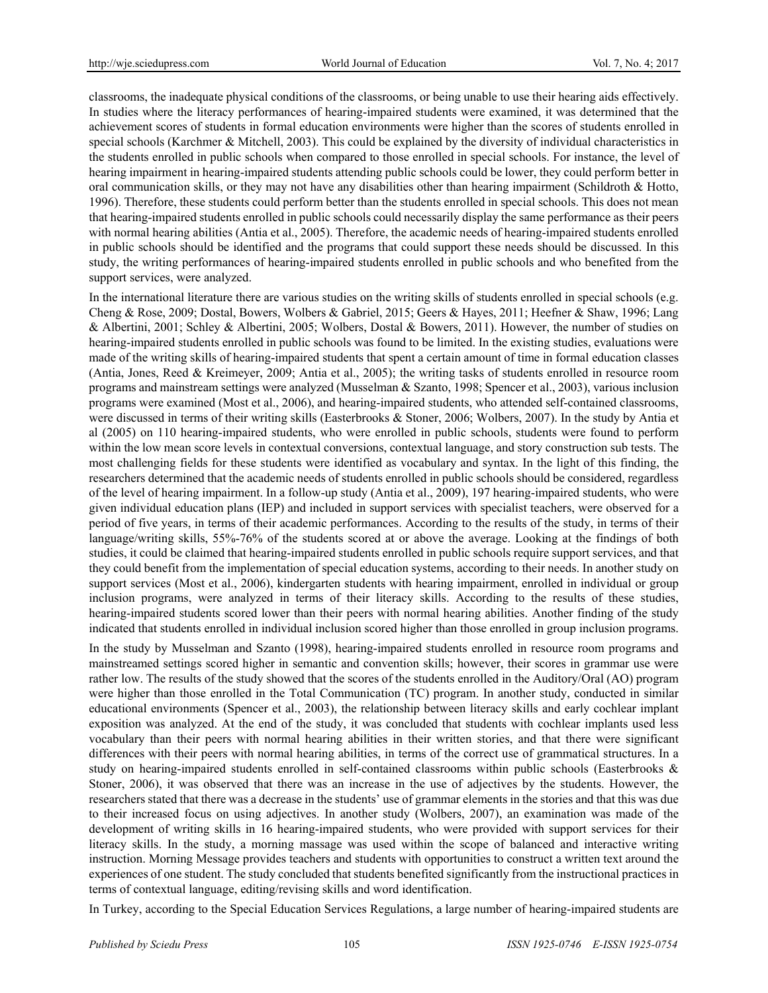classrooms, the inadequate physical conditions of the classrooms, or being unable to use their hearing aids effectively. In studies where the literacy performances of hearing-impaired students were examined, it was determined that the achievement scores of students in formal education environments were higher than the scores of students enrolled in special schools (Karchmer & Mitchell, 2003). This could be explained by the diversity of individual characteristics in the students enrolled in public schools when compared to those enrolled in special schools. For instance, the level of hearing impairment in hearing-impaired students attending public schools could be lower, they could perform better in oral communication skills, or they may not have any disabilities other than hearing impairment (Schildroth & Hotto, 1996). Therefore, these students could perform better than the students enrolled in special schools. This does not mean that hearing-impaired students enrolled in public schools could necessarily display the same performance as their peers with normal hearing abilities (Antia et al., 2005). Therefore, the academic needs of hearing-impaired students enrolled in public schools should be identified and the programs that could support these needs should be discussed. In this study, the writing performances of hearing-impaired students enrolled in public schools and who benefited from the support services, were analyzed.

In the international literature there are various studies on the writing skills of students enrolled in special schools (e.g. Cheng & Rose, 2009; Dostal, Bowers, Wolbers & Gabriel, 2015; Geers & Hayes, 2011; Heefner & Shaw, 1996; Lang & Albertini, 2001; Schley & Albertini, 2005; Wolbers, Dostal & Bowers, 2011). However, the number of studies on hearing-impaired students enrolled in public schools was found to be limited. In the existing studies, evaluations were made of the writing skills of hearing-impaired students that spent a certain amount of time in formal education classes (Antia, Jones, Reed & Kreimeyer, 2009; Antia et al., 2005); the writing tasks of students enrolled in resource room programs and mainstream settings were analyzed (Musselman & Szanto, 1998; Spencer et al., 2003), various inclusion programs were examined (Most et al., 2006), and hearing-impaired students, who attended self-contained classrooms, were discussed in terms of their writing skills (Easterbrooks & Stoner, 2006; Wolbers, 2007). In the study by Antia et al (2005) on 110 hearing-impaired students, who were enrolled in public schools, students were found to perform within the low mean score levels in contextual conversions, contextual language, and story construction sub tests. The most challenging fields for these students were identified as vocabulary and syntax. In the light of this finding, the researchers determined that the academic needs of students enrolled in public schools should be considered, regardless of the level of hearing impairment. In a follow-up study (Antia et al., 2009), 197 hearing-impaired students, who were given individual education plans (IEP) and included in support services with specialist teachers, were observed for a period of five years, in terms of their academic performances. According to the results of the study, in terms of their language/writing skills, 55%-76% of the students scored at or above the average. Looking at the findings of both studies, it could be claimed that hearing-impaired students enrolled in public schools require support services, and that they could benefit from the implementation of special education systems, according to their needs. In another study on support services (Most et al., 2006), kindergarten students with hearing impairment, enrolled in individual or group inclusion programs, were analyzed in terms of their literacy skills. According to the results of these studies, hearing-impaired students scored lower than their peers with normal hearing abilities. Another finding of the study indicated that students enrolled in individual inclusion scored higher than those enrolled in group inclusion programs.

In the study by Musselman and Szanto (1998), hearing-impaired students enrolled in resource room programs and mainstreamed settings scored higher in semantic and convention skills; however, their scores in grammar use were rather low. The results of the study showed that the scores of the students enrolled in the Auditory/Oral (AO) program were higher than those enrolled in the Total Communication (TC) program. In another study, conducted in similar educational environments (Spencer et al., 2003), the relationship between literacy skills and early cochlear implant exposition was analyzed. At the end of the study, it was concluded that students with cochlear implants used less vocabulary than their peers with normal hearing abilities in their written stories, and that there were significant differences with their peers with normal hearing abilities, in terms of the correct use of grammatical structures. In a study on hearing-impaired students enrolled in self-contained classrooms within public schools (Easterbrooks & Stoner, 2006), it was observed that there was an increase in the use of adjectives by the students. However, the researchers stated that there was a decrease in the students' use of grammar elements in the stories and that this was due to their increased focus on using adjectives. In another study (Wolbers, 2007), an examination was made of the development of writing skills in 16 hearing-impaired students, who were provided with support services for their literacy skills. In the study, a morning massage was used within the scope of balanced and interactive writing instruction. Morning Message provides teachers and students with opportunities to construct a written text around the experiences of one student. The study concluded that students benefited significantly from the instructional practices in terms of contextual language, editing/revising skills and word identification.

In Turkey, according to the Special Education Services Regulations, a large number of hearing-impaired students are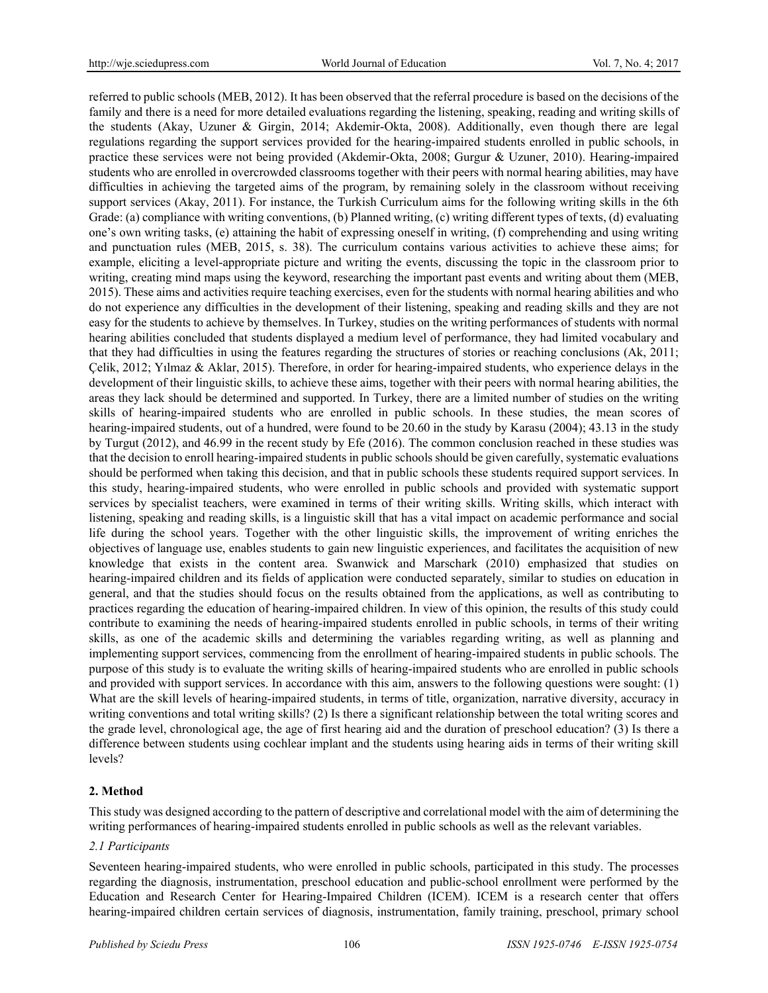referred to public schools (MEB, 2012). It has been observed that the referral procedure is based on the decisions of the family and there is a need for more detailed evaluations regarding the listening, speaking, reading and writing skills of the students (Akay, Uzuner & Girgin, 2014; Akdemir-Okta, 2008). Additionally, even though there are legal regulations regarding the support services provided for the hearing-impaired students enrolled in public schools, in practice these services were not being provided (Akdemir-Okta, 2008; Gurgur & Uzuner, 2010). Hearing-impaired students who are enrolled in overcrowded classrooms together with their peers with normal hearing abilities, may have difficulties in achieving the targeted aims of the program, by remaining solely in the classroom without receiving support services (Akay, 2011). For instance, the Turkish Curriculum aims for the following writing skills in the 6th Grade: (a) compliance with writing conventions, (b) Planned writing, (c) writing different types of texts, (d) evaluating one's own writing tasks, (e) attaining the habit of expressing oneself in writing, (f) comprehending and using writing and punctuation rules (MEB, 2015, s. 38). The curriculum contains various activities to achieve these aims; for example, eliciting a level-appropriate picture and writing the events, discussing the topic in the classroom prior to writing, creating mind maps using the keyword, researching the important past events and writing about them (MEB, 2015). These aims and activities require teaching exercises, even for the students with normal hearing abilities and who do not experience any difficulties in the development of their listening, speaking and reading skills and they are not easy for the students to achieve by themselves. In Turkey, studies on the writing performances of students with normal hearing abilities concluded that students displayed a medium level of performance, they had limited vocabulary and that they had difficulties in using the features regarding the structures of stories or reaching conclusions (Ak, 2011; Celik, 2012; Yılmaz & Aklar, 2015). Therefore, in order for hearing-impaired students, who experience delays in the development of their linguistic skills, to achieve these aims, together with their peers with normal hearing abilities, the areas they lack should be determined and supported. In Turkey, there are a limited number of studies on the writing skills of hearing-impaired students who are enrolled in public schools. In these studies, the mean scores of hearing-impaired students, out of a hundred, were found to be 20.60 in the study by Karasu (2004); 43.13 in the study by Turgut (2012), and 46.99 in the recent study by Efe (2016). The common conclusion reached in these studies was that the decision to enroll hearing-impaired students in public schools should be given carefully, systematic evaluations should be performed when taking this decision, and that in public schools these students required support services. In this study, hearing-impaired students, who were enrolled in public schools and provided with systematic support services by specialist teachers, were examined in terms of their writing skills. Writing skills, which interact with listening, speaking and reading skills, is a linguistic skill that has a vital impact on academic performance and social life during the school years. Together with the other linguistic skills, the improvement of writing enriches the objectives of language use, enables students to gain new linguistic experiences, and facilitates the acquisition of new knowledge that exists in the content area. Swanwick and Marschark (2010) emphasized that studies on hearing-impaired children and its fields of application were conducted separately, similar to studies on education in general, and that the studies should focus on the results obtained from the applications, as well as contributing to practices regarding the education of hearing-impaired children. In view of this opinion, the results of this study could contribute to examining the needs of hearing-impaired students enrolled in public schools, in terms of their writing skills, as one of the academic skills and determining the variables regarding writing, as well as planning and implementing support services, commencing from the enrollment of hearing-impaired students in public schools. The purpose of this study is to evaluate the writing skills of hearing-impaired students who are enrolled in public schools and provided with support services. In accordance with this aim, answers to the following questions were sought: (1) What are the skill levels of hearing-impaired students, in terms of title, organization, narrative diversity, accuracy in writing conventions and total writing skills? (2) Is there a significant relationship between the total writing scores and the grade level, chronological age, the age of first hearing aid and the duration of preschool education? (3) Is there a difference between students using cochlear implant and the students using hearing aids in terms of their writing skill levels?

### **2. Method**

This study was designed according to the pattern of descriptive and correlational model with the aim of determining the writing performances of hearing-impaired students enrolled in public schools as well as the relevant variables.

#### *2.1 Participants*

Seventeen hearing-impaired students, who were enrolled in public schools, participated in this study. The processes regarding the diagnosis, instrumentation, preschool education and public-school enrollment were performed by the Education and Research Center for Hearing-Impaired Children (ICEM). ICEM is a research center that offers hearing-impaired children certain services of diagnosis, instrumentation, family training, preschool, primary school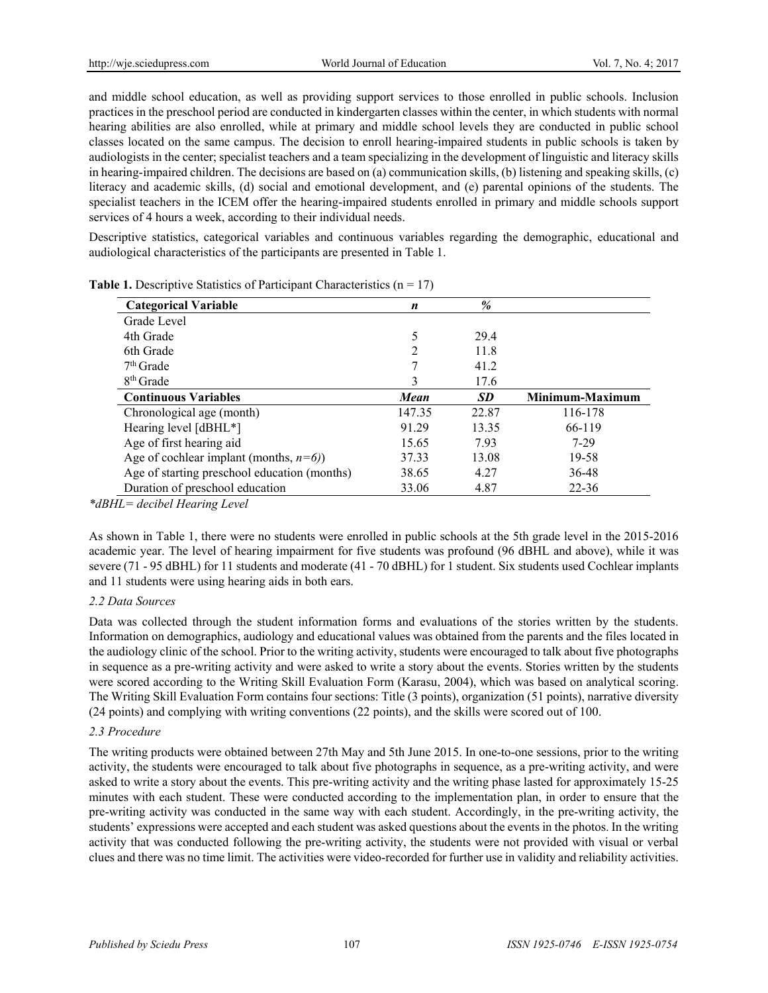and middle school education, as well as providing support services to those enrolled in public schools. Inclusion practices in the preschool period are conducted in kindergarten classes within the center, in which students with normal hearing abilities are also enrolled, while at primary and middle school levels they are conducted in public school classes located on the same campus. The decision to enroll hearing-impaired students in public schools is taken by audiologists in the center; specialist teachers and a team specializing in the development of linguistic and literacy skills in hearing-impaired children. The decisions are based on (a) communication skills, (b) listening and speaking skills, (c) literacy and academic skills, (d) social and emotional development, and (e) parental opinions of the students. The specialist teachers in the ICEM offer the hearing-impaired students enrolled in primary and middle schools support services of 4 hours a week, according to their individual needs.

Descriptive statistics, categorical variables and continuous variables regarding the demographic, educational and audiological characteristics of the participants are presented in Table 1.

| <b>Categorical Variable</b>                  | n      | %         |                 |
|----------------------------------------------|--------|-----------|-----------------|
| Grade Level                                  |        |           |                 |
| 4th Grade                                    | 5      | 29.4      |                 |
| 6th Grade                                    | 2      | 11.8      |                 |
| $7th$ Grade                                  |        | 41.2      |                 |
| 8 <sup>th</sup> Grade                        | 3      | 17.6      |                 |
| <b>Continuous Variables</b>                  | Mean   | <b>SD</b> | Minimum-Maximum |
| Chronological age (month)                    | 147.35 | 22.87     | 116-178         |
| Hearing level [dBHL*]                        | 91.29  | 13.35     | 66-119          |
| Age of first hearing aid                     | 15.65  | 7.93      | $7-29$          |
| Age of cochlear implant (months, $n=6$ ))    | 37.33  | 13.08     | 19-58           |
| Age of starting preschool education (months) | 38.65  | 4.27      | 36-48           |
| Duration of preschool education              | 33.06  | 4.87      | $22 - 36$       |

**Table 1.** Descriptive Statistics of Participant Characteristics  $(n = 17)$ 

*\*dBHL= decibel Hearing Level*

As shown in Table 1, there were no students were enrolled in public schools at the 5th grade level in the 2015-2016 academic year. The level of hearing impairment for five students was profound (96 dBHL and above), while it was severe (71 - 95 dBHL) for 11 students and moderate (41 - 70 dBHL) for 1 student. Six students used Cochlear implants and 11 students were using hearing aids in both ears.

### *2.2 Data Sources*

Data was collected through the student information forms and evaluations of the stories written by the students. Information on demographics, audiology and educational values was obtained from the parents and the files located in the audiology clinic of the school. Prior to the writing activity, students were encouraged to talk about five photographs in sequence as a pre-writing activity and were asked to write a story about the events. Stories written by the students were scored according to the Writing Skill Evaluation Form (Karasu, 2004), which was based on analytical scoring. The Writing Skill Evaluation Form contains four sections: Title (3 points), organization (51 points), narrative diversity (24 points) and complying with writing conventions (22 points), and the skills were scored out of 100.

### *2.3 Procedure*

The writing products were obtained between 27th May and 5th June 2015. In one-to-one sessions, prior to the writing activity, the students were encouraged to talk about five photographs in sequence, as a pre-writing activity, and were asked to write a story about the events. This pre-writing activity and the writing phase lasted for approximately 15-25 minutes with each student. These were conducted according to the implementation plan, in order to ensure that the pre-writing activity was conducted in the same way with each student. Accordingly, in the pre-writing activity, the students' expressions were accepted and each student was asked questions about the events in the photos. In the writing activity that was conducted following the pre-writing activity, the students were not provided with visual or verbal clues and there was no time limit. The activities were video-recorded for further use in validity and reliability activities.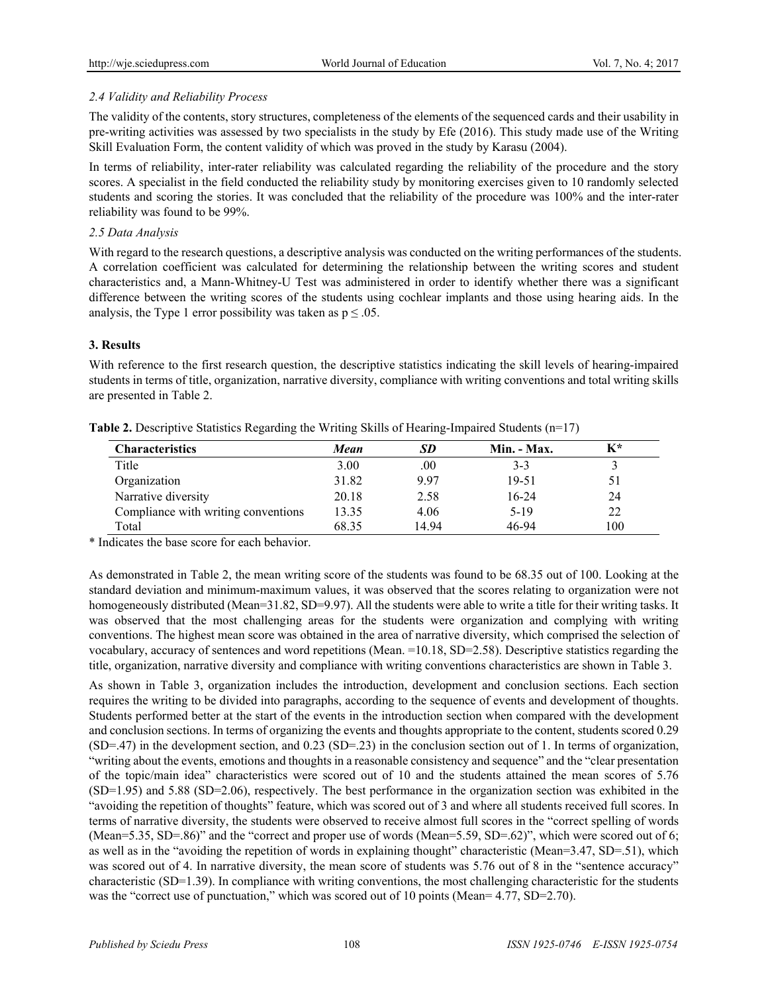# *2.4 Validity and Reliability Process*

The validity of the contents, story structures, completeness of the elements of the sequenced cards and their usability in pre-writing activities was assessed by two specialists in the study by Efe (2016). This study made use of the Writing Skill Evaluation Form, the content validity of which was proved in the study by Karasu (2004).

In terms of reliability, inter-rater reliability was calculated regarding the reliability of the procedure and the story scores. A specialist in the field conducted the reliability study by monitoring exercises given to 10 randomly selected students and scoring the stories. It was concluded that the reliability of the procedure was 100% and the inter-rater reliability was found to be 99%.

## *2.5 Data Analysis*

With regard to the research questions, a descriptive analysis was conducted on the writing performances of the students. A correlation coefficient was calculated for determining the relationship between the writing scores and student characteristics and, a Mann-Whitney-U Test was administered in order to identify whether there was a significant difference between the writing scores of the students using cochlear implants and those using hearing aids. In the analysis, the Type 1 error possibility was taken as  $p \le 0.05$ .

# **3. Results**

With reference to the first research question, the descriptive statistics indicating the skill levels of hearing-impaired students in terms of title, organization, narrative diversity, compliance with writing conventions and total writing skills are presented in Table 2.

| <b>Characteristics</b>              | Mean  | <b>SD</b> | Min. - Max. | K*  |
|-------------------------------------|-------|-----------|-------------|-----|
| Title                               | 3.00  | $.00\,$   | $3-3$       |     |
| Organization                        | 31.82 | 9.97      | 19-51       |     |
| Narrative diversity                 | 20.18 | 2.58      | $16 - 24$   | 24  |
| Compliance with writing conventions | 13.35 | 4.06      | $5-19$      | 22  |
| Total                               | 68.35 | 14.94     | 46-94       | 100 |

**Table 2.** Descriptive Statistics Regarding the Writing Skills of Hearing-Impaired Students (n=17)

\* Indicates the base score for each behavior.

As demonstrated in Table 2, the mean writing score of the students was found to be 68.35 out of 100. Looking at the standard deviation and minimum-maximum values, it was observed that the scores relating to organization were not homogeneously distributed (Mean=31.82, SD=9.97). All the students were able to write a title for their writing tasks. It was observed that the most challenging areas for the students were organization and complying with writing conventions. The highest mean score was obtained in the area of narrative diversity, which comprised the selection of vocabulary, accuracy of sentences and word repetitions (Mean. =10.18, SD=2.58). Descriptive statistics regarding the title, organization, narrative diversity and compliance with writing conventions characteristics are shown in Table 3.

As shown in Table 3, organization includes the introduction, development and conclusion sections. Each section requires the writing to be divided into paragraphs, according to the sequence of events and development of thoughts. Students performed better at the start of the events in the introduction section when compared with the development and conclusion sections. In terms of organizing the events and thoughts appropriate to the content, students scored 0.29  $(SD=47)$  in the development section, and 0.23 (SD=.23) in the conclusion section out of 1. In terms of organization, "writing about the events, emotions and thoughts in a reasonable consistency and sequence" and the "clear presentation of the topic/main idea" characteristics were scored out of 10 and the students attained the mean scores of 5.76  $(SD=1.95)$  and 5.88  $(SD=2.06)$ , respectively. The best performance in the organization section was exhibited in the "avoiding the repetition of thoughts" feature, which was scored out of 3 and where all students received full scores. In terms of narrative diversity, the students were observed to receive almost full scores in the "correct spelling of words (Mean=5.35, SD=.86)" and the "correct and proper use of words (Mean=5.59, SD=.62)", which were scored out of 6; as well as in the "avoiding the repetition of words in explaining thought" characteristic (Mean=3.47, SD=.51), which was scored out of 4. In narrative diversity, the mean score of students was 5.76 out of 8 in the "sentence accuracy" characteristic (SD=1.39). In compliance with writing conventions, the most challenging characteristic for the students was the "correct use of punctuation," which was scored out of 10 points (Mean= 4.77, SD=2.70).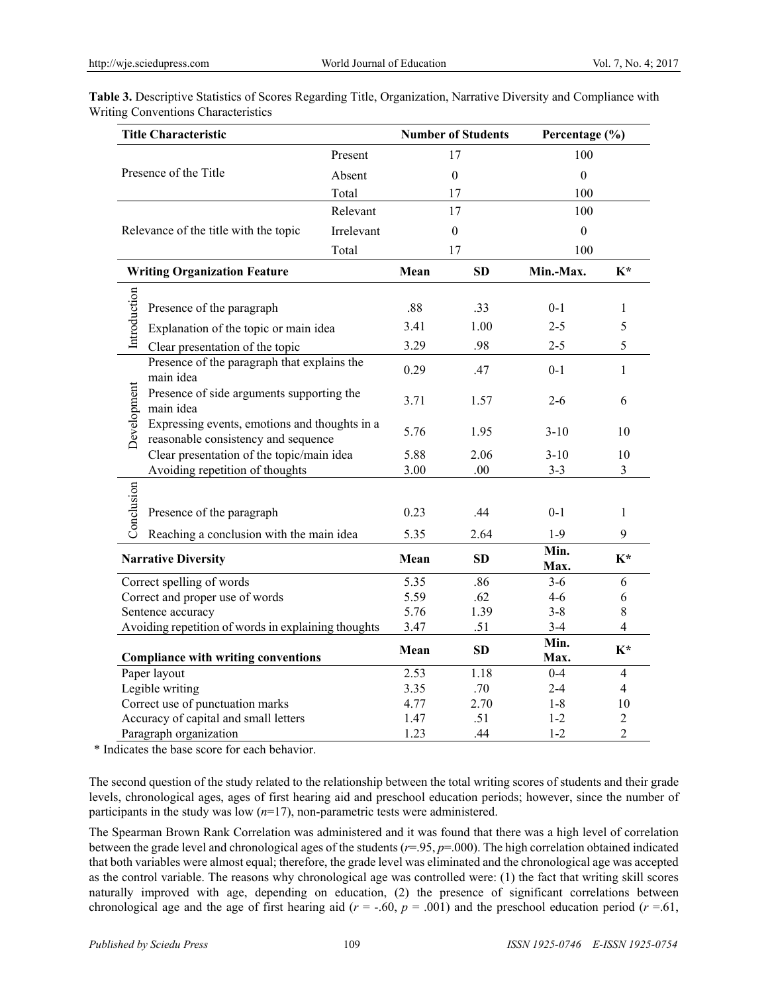| <b>Title Characteristic</b>                                                                         |                                                          | <b>Number of Students</b> |           | Percentage (%)   |                |                |
|-----------------------------------------------------------------------------------------------------|----------------------------------------------------------|---------------------------|-----------|------------------|----------------|----------------|
| Present<br>Presence of the Title<br>Absent<br>Total                                                 |                                                          | 17                        |           | 100              |                |                |
|                                                                                                     |                                                          | $\boldsymbol{0}$          |           | $\boldsymbol{0}$ |                |                |
|                                                                                                     |                                                          |                           | 17        | 100              |                |                |
| Relevant                                                                                            |                                                          |                           | 17        |                  | 100            |                |
| Relevance of the title with the topic<br>Irrelevant                                                 |                                                          | $\boldsymbol{0}$          |           | $\boldsymbol{0}$ |                |                |
|                                                                                                     |                                                          | Total                     | 17        |                  | 100            |                |
|                                                                                                     | <b>Writing Organization Feature</b>                      |                           | Mean      | <b>SD</b>        | Min.-Max.      | $K^*$          |
|                                                                                                     |                                                          |                           |           |                  |                |                |
| Introduction                                                                                        | Presence of the paragraph                                |                           | .88       | .33              | $0 - 1$        | 1              |
|                                                                                                     | Explanation of the topic or main idea                    |                           | 3.41      | 1.00             | $2 - 5$        | 5              |
| Clear presentation of the topic                                                                     |                                                          |                           | 3.29      | .98              | $2 - 5$        | 5              |
|                                                                                                     | Presence of the paragraph that explains the<br>main idea |                           | 0.29      | .47              | $0 - 1$        | $\mathbf{1}$   |
| Presence of side arguments supporting the<br>main idea                                              |                                                          |                           | 3.71      | 1.57             | $2 - 6$        | 6              |
| Development<br>Expressing events, emotions and thoughts in a<br>reasonable consistency and sequence |                                                          | 5.76                      | 1.95      | $3-10$           | 10             |                |
| Clear presentation of the topic/main idea                                                           |                                                          |                           | 5.88      | 2.06             | $3-10$         | 10             |
|                                                                                                     | Avoiding repetition of thoughts                          |                           | 3.00      | .00              | $3 - 3$        | 3              |
|                                                                                                     |                                                          |                           |           |                  |                |                |
| Conclusion<br>Presence of the paragraph<br>Reaching a conclusion with the main idea                 |                                                          |                           | 0.23      | .44              | $0 - 1$        | 1              |
|                                                                                                     |                                                          |                           | 5.35      | 2.64             | $1-9$          | 9              |
| <b>Narrative Diversity</b>                                                                          |                                                          | Mean                      | <b>SD</b> | Min.<br>Max.     | $K^*$          |                |
|                                                                                                     | Correct spelling of words                                |                           | 5.35      | .86              | $3 - 6$        | 6              |
| Correct and proper use of words                                                                     |                                                          | 5.59                      | .62       | $4 - 6$          | 6              |                |
| Sentence accuracy                                                                                   |                                                          | 5.76                      | 1.39      | $3 - 8$          | $8\,$          |                |
| Avoiding repetition of words in explaining thoughts                                                 |                                                          | 3.47                      | .51       | $3-4$            | $\overline{4}$ |                |
|                                                                                                     | <b>Compliance with writing conventions</b>               |                           | Mean      | SD               | Min.<br>Max.   | $K^*$          |
| Paper layout                                                                                        |                                                          | 2.53                      | 1.18      | $0 - 4$          | $\overline{4}$ |                |
| Legible writing                                                                                     |                                                          | 3.35                      | .70       | $2 - 4$          | $\overline{4}$ |                |
| Correct use of punctuation marks                                                                    |                                                          | 4.77                      | 2.70      | $1 - 8$          | 10             |                |
| Accuracy of capital and small letters                                                               |                                                          |                           | 1.47      | .51              | $1 - 2$        | $\overline{2}$ |
| Paragraph organization                                                                              |                                                          |                           | 1.23      | .44              | $1 - 2$        | $\overline{2}$ |

**Table 3.** Descriptive Statistics of Scores Regarding Title, Organization, Narrative Diversity and Compliance with Writing Conventions Characteristics

\* Indicates the base score for each behavior.

The second question of the study related to the relationship between the total writing scores of students and their grade levels, chronological ages, ages of first hearing aid and preschool education periods; however, since the number of participants in the study was low (*n*=17), non-parametric tests were administered.

The Spearman Brown Rank Correlation was administered and it was found that there was a high level of correlation between the grade level and chronological ages of the students (*r*=.95, *p*=.000). The high correlation obtained indicated that both variables were almost equal; therefore, the grade level was eliminated and the chronological age was accepted as the control variable. The reasons why chronological age was controlled were: (1) the fact that writing skill scores naturally improved with age, depending on education, (2) the presence of significant correlations between chronological age and the age of first hearing aid  $(r = -.60, p = .001)$  and the preschool education period  $(r = .61, p = .60)$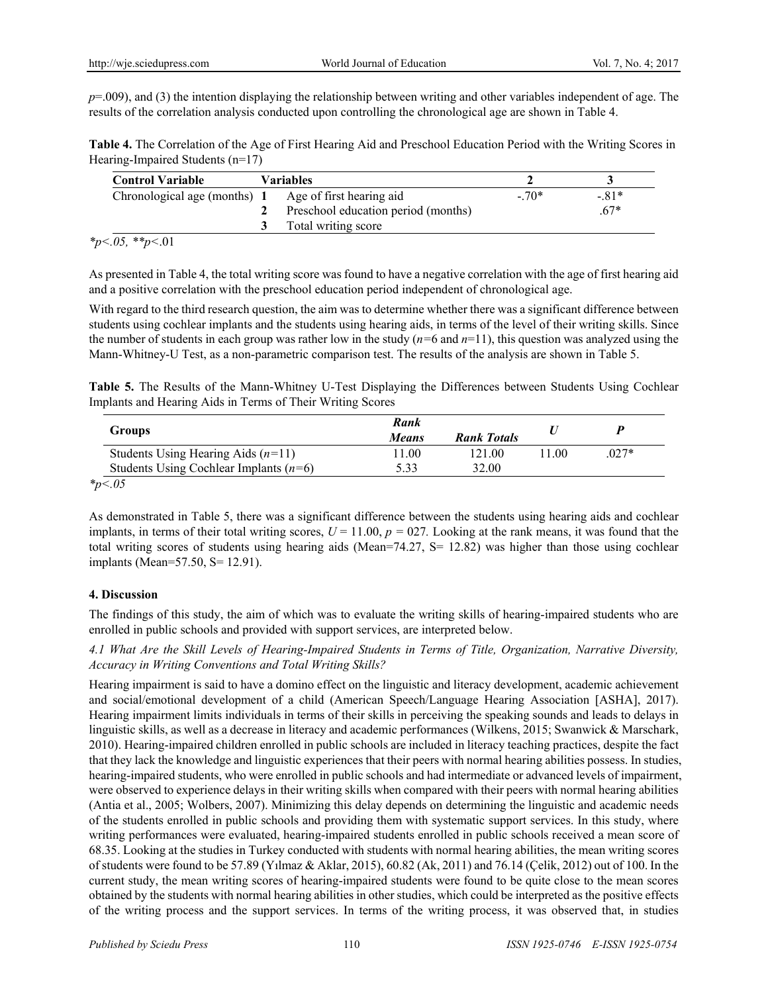$p=0.09$ ), and (3) the intention displaying the relationship between writing and other variables independent of age. The results of the correlation analysis conducted upon controlling the chronological age are shown in Table 4.

**Table 4.** The Correlation of the Age of First Hearing Aid and Preschool Education Period with the Writing Scores in Hearing-Impaired Students (n=17)

| <b>Control Variable</b>                               | <b>Variables</b>                    |        |        |
|-------------------------------------------------------|-------------------------------------|--------|--------|
| Chronological age (months) 1 Age of first hearing aid |                                     | $-70*$ | $-81*$ |
|                                                       | Preschool education period (months) |        | $67*$  |
|                                                       | Total writing score                 |        |        |

*\*p<.05, \*\*p<*.01

As presented in Table 4, the total writing score was found to have a negative correlation with the age of first hearing aid and a positive correlation with the preschool education period independent of chronological age.

With regard to the third research question, the aim was to determine whether there was a significant difference between students using cochlear implants and the students using hearing aids, in terms of the level of their writing skills. Since the number of students in each group was rather low in the study  $(n=6 \text{ and } n=11)$ , this question was analyzed using the Mann-Whitney-U Test, as a non-parametric comparison test. The results of the analysis are shown in Table 5.

**Table 5.** The Results of the Mann-Whitney U-Test Displaying the Differences between Students Using Cochlear Implants and Hearing Aids in Terms of Their Writing Scores

|                                          | Rank         |                    |     |         |
|------------------------------------------|--------------|--------------------|-----|---------|
| <b>Groups</b>                            | <b>Means</b> | <b>Rank Totals</b> |     |         |
| Students Using Hearing Aids $(n=11)$     | l 1.00       | 121 00             | 100 | $.027*$ |
| Students Using Cochlear Implants $(n=6)$ | 5.33         | 32.00              |     |         |
| $*_{p<.05}$                              |              |                    |     |         |

As demonstrated in Table 5, there was a significant difference between the students using hearing aids and cochlear implants, in terms of their total writing scores,  $U = 11.00$ ,  $p = 027$ . Looking at the rank means, it was found that the total writing scores of students using hearing aids (Mean=74.27,  $S = 12.82$ ) was higher than those using cochlear implants (Mean=57.50, S= 12.91).

### **4. Discussion**

The findings of this study, the aim of which was to evaluate the writing skills of hearing-impaired students who are enrolled in public schools and provided with support services, are interpreted below.

*4.1 What Are the Skill Levels of Hearing-Impaired Students in Terms of Title, Organization, Narrative Diversity, Accuracy in Writing Conventions and Total Writing Skills?* 

Hearing impairment is said to have a domino effect on the linguistic and literacy development, academic achievement and social/emotional development of a child (American Speech/Language Hearing Association [ASHA], 2017). Hearing impairment limits individuals in terms of their skills in perceiving the speaking sounds and leads to delays in linguistic skills, as well as a decrease in literacy and academic performances (Wilkens, 2015; Swanwick & Marschark, 2010). Hearing-impaired children enrolled in public schools are included in literacy teaching practices, despite the fact that they lack the knowledge and linguistic experiences that their peers with normal hearing abilities possess. In studies, hearing-impaired students, who were enrolled in public schools and had intermediate or advanced levels of impairment, were observed to experience delays in their writing skills when compared with their peers with normal hearing abilities (Antia et al., 2005; Wolbers, 2007). Minimizing this delay depends on determining the linguistic and academic needs of the students enrolled in public schools and providing them with systematic support services. In this study, where writing performances were evaluated, hearing-impaired students enrolled in public schools received a mean score of 68.35. Looking at the studies in Turkey conducted with students with normal hearing abilities, the mean writing scores of students were found to be 57.89 (Yılmaz & Aklar, 2015), 60.82 (Ak, 2011) and 76.14 (Çelik, 2012) out of 100. In the current study, the mean writing scores of hearing-impaired students were found to be quite close to the mean scores obtained by the students with normal hearing abilities in other studies, which could be interpreted as the positive effects of the writing process and the support services. In terms of the writing process, it was observed that, in studies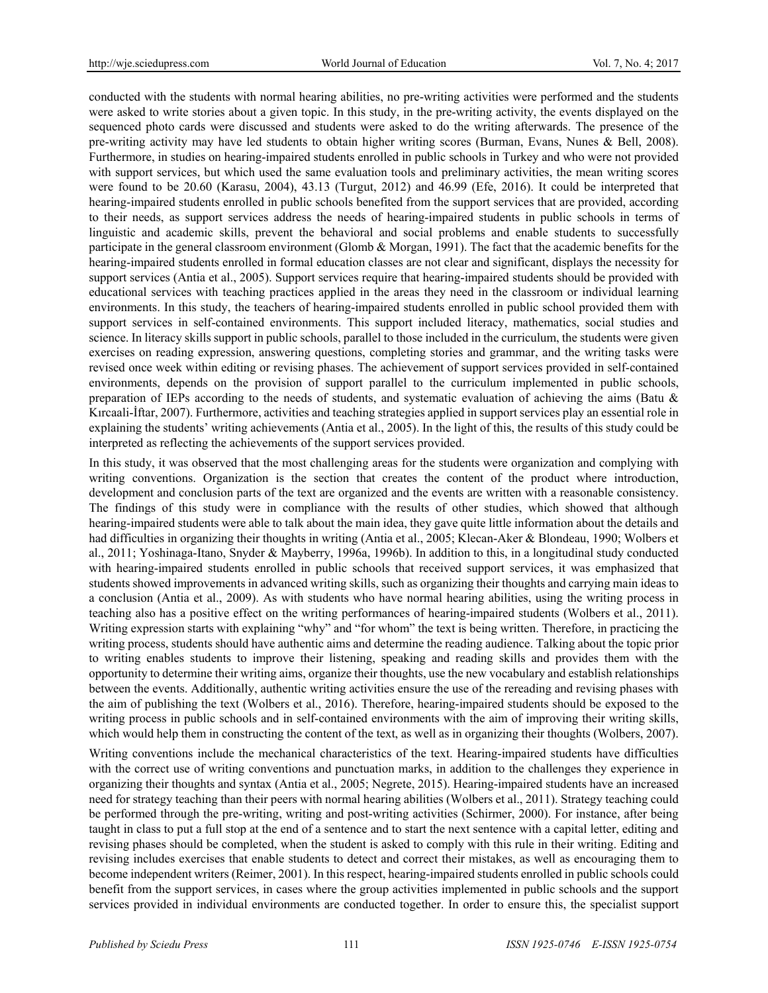conducted with the students with normal hearing abilities, no pre-writing activities were performed and the students were asked to write stories about a given topic. In this study, in the pre-writing activity, the events displayed on the sequenced photo cards were discussed and students were asked to do the writing afterwards. The presence of the pre-writing activity may have led students to obtain higher writing scores (Burman, Evans, Nunes & Bell, 2008). Furthermore, in studies on hearing-impaired students enrolled in public schools in Turkey and who were not provided with support services, but which used the same evaluation tools and preliminary activities, the mean writing scores were found to be 20.60 (Karasu, 2004), 43.13 (Turgut, 2012) and 46.99 (Efe, 2016). It could be interpreted that hearing-impaired students enrolled in public schools benefited from the support services that are provided, according to their needs, as support services address the needs of hearing-impaired students in public schools in terms of linguistic and academic skills, prevent the behavioral and social problems and enable students to successfully participate in the general classroom environment (Glomb & Morgan, 1991). The fact that the academic benefits for the hearing-impaired students enrolled in formal education classes are not clear and significant, displays the necessity for support services (Antia et al., 2005). Support services require that hearing-impaired students should be provided with educational services with teaching practices applied in the areas they need in the classroom or individual learning environments. In this study, the teachers of hearing-impaired students enrolled in public school provided them with support services in self-contained environments. This support included literacy, mathematics, social studies and science. In literacy skills support in public schools, parallel to those included in the curriculum, the students were given exercises on reading expression, answering questions, completing stories and grammar, and the writing tasks were revised once week within editing or revising phases. The achievement of support services provided in self-contained environments, depends on the provision of support parallel to the curriculum implemented in public schools, preparation of IEPs according to the needs of students, and systematic evaluation of achieving the aims (Batu  $\&$ Kırcaali-İftar, 2007). Furthermore, activities and teaching strategies applied in support services play an essential role in explaining the students' writing achievements (Antia et al., 2005). In the light of this, the results of this study could be interpreted as reflecting the achievements of the support services provided.

In this study, it was observed that the most challenging areas for the students were organization and complying with writing conventions. Organization is the section that creates the content of the product where introduction, development and conclusion parts of the text are organized and the events are written with a reasonable consistency. The findings of this study were in compliance with the results of other studies, which showed that although hearing-impaired students were able to talk about the main idea, they gave quite little information about the details and had difficulties in organizing their thoughts in writing (Antia et al., 2005; Klecan-Aker & Blondeau, 1990; Wolbers et al., 2011; Yoshinaga-Itano, Snyder & Mayberry, 1996a, 1996b). In addition to this, in a longitudinal study conducted with hearing-impaired students enrolled in public schools that received support services, it was emphasized that students showed improvements in advanced writing skills, such as organizing their thoughts and carrying main ideas to a conclusion (Antia et al., 2009). As with students who have normal hearing abilities, using the writing process in teaching also has a positive effect on the writing performances of hearing-impaired students (Wolbers et al., 2011). Writing expression starts with explaining "why" and "for whom" the text is being written. Therefore, in practicing the writing process, students should have authentic aims and determine the reading audience. Talking about the topic prior to writing enables students to improve their listening, speaking and reading skills and provides them with the opportunity to determine their writing aims, organize their thoughts, use the new vocabulary and establish relationships between the events. Additionally, authentic writing activities ensure the use of the rereading and revising phases with the aim of publishing the text (Wolbers et al., 2016). Therefore, hearing-impaired students should be exposed to the writing process in public schools and in self-contained environments with the aim of improving their writing skills, which would help them in constructing the content of the text, as well as in organizing their thoughts (Wolbers, 2007).

Writing conventions include the mechanical characteristics of the text. Hearing-impaired students have difficulties with the correct use of writing conventions and punctuation marks, in addition to the challenges they experience in organizing their thoughts and syntax (Antia et al., 2005; Negrete, 2015). Hearing-impaired students have an increased need for strategy teaching than their peers with normal hearing abilities (Wolbers et al., 2011). Strategy teaching could be performed through the pre-writing, writing and post-writing activities (Schirmer, 2000). For instance, after being taught in class to put a full stop at the end of a sentence and to start the next sentence with a capital letter, editing and revising phases should be completed, when the student is asked to comply with this rule in their writing. Editing and revising includes exercises that enable students to detect and correct their mistakes, as well as encouraging them to become independent writers (Reimer, 2001). In this respect, hearing-impaired students enrolled in public schools could benefit from the support services, in cases where the group activities implemented in public schools and the support services provided in individual environments are conducted together. In order to ensure this, the specialist support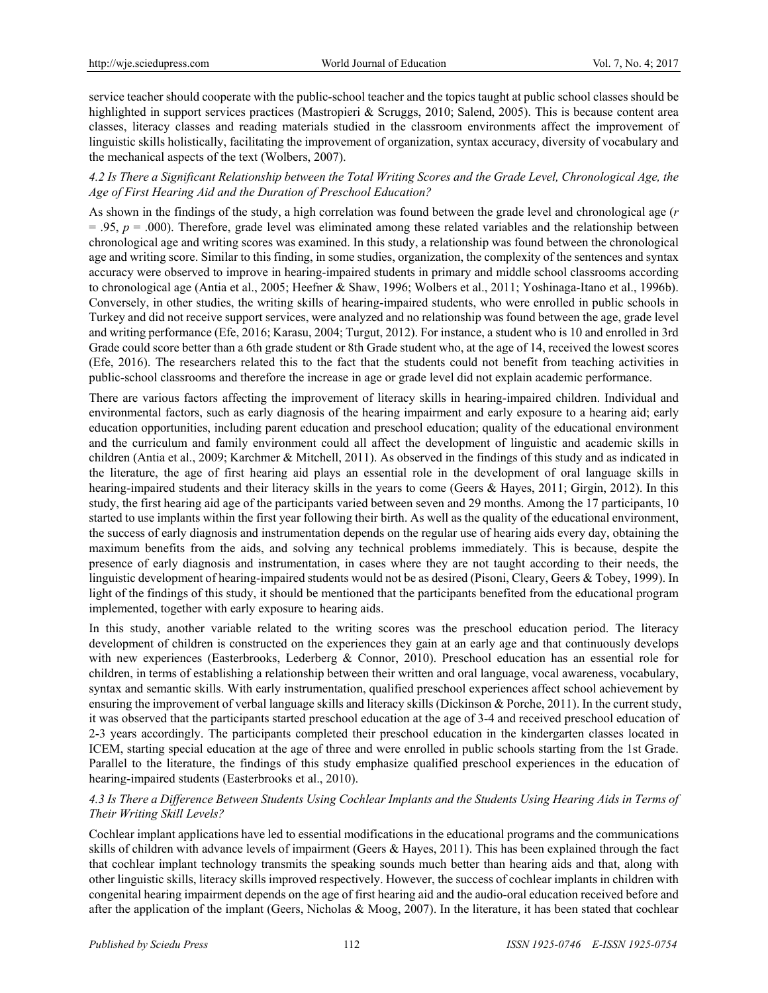service teacher should cooperate with the public-school teacher and the topics taught at public school classes should be highlighted in support services practices (Mastropieri & Scruggs, 2010; Salend, 2005). This is because content area classes, literacy classes and reading materials studied in the classroom environments affect the improvement of linguistic skills holistically, facilitating the improvement of organization, syntax accuracy, diversity of vocabulary and the mechanical aspects of the text (Wolbers, 2007).

## *4.2 Is There a Significant Relationship between the Total Writing Scores and the Grade Level, Chronological Age, the Age of First Hearing Aid and the Duration of Preschool Education?*

As shown in the findings of the study, a high correlation was found between the grade level and chronological age (*r*  $= .95, p = .000$ ). Therefore, grade level was eliminated among these related variables and the relationship between chronological age and writing scores was examined. In this study, a relationship was found between the chronological age and writing score. Similar to this finding, in some studies, organization, the complexity of the sentences and syntax accuracy were observed to improve in hearing-impaired students in primary and middle school classrooms according to chronological age (Antia et al., 2005; Heefner & Shaw, 1996; Wolbers et al., 2011; Yoshinaga-Itano et al., 1996b). Conversely, in other studies, the writing skills of hearing-impaired students, who were enrolled in public schools in Turkey and did not receive support services, were analyzed and no relationship was found between the age, grade level and writing performance (Efe, 2016; Karasu, 2004; Turgut, 2012). For instance, a student who is 10 and enrolled in 3rd Grade could score better than a 6th grade student or 8th Grade student who, at the age of 14, received the lowest scores (Efe, 2016). The researchers related this to the fact that the students could not benefit from teaching activities in public-school classrooms and therefore the increase in age or grade level did not explain academic performance.

There are various factors affecting the improvement of literacy skills in hearing-impaired children. Individual and environmental factors, such as early diagnosis of the hearing impairment and early exposure to a hearing aid; early education opportunities, including parent education and preschool education; quality of the educational environment and the curriculum and family environment could all affect the development of linguistic and academic skills in children (Antia et al., 2009; Karchmer & Mitchell, 2011). As observed in the findings of this study and as indicated in the literature, the age of first hearing aid plays an essential role in the development of oral language skills in hearing-impaired students and their literacy skills in the years to come (Geers & Hayes, 2011; Girgin, 2012). In this study, the first hearing aid age of the participants varied between seven and 29 months. Among the 17 participants, 10 started to use implants within the first year following their birth. As well as the quality of the educational environment, the success of early diagnosis and instrumentation depends on the regular use of hearing aids every day, obtaining the maximum benefits from the aids, and solving any technical problems immediately. This is because, despite the presence of early diagnosis and instrumentation, in cases where they are not taught according to their needs, the linguistic development of hearing-impaired students would not be as desired (Pisoni, Cleary, Geers & Tobey, 1999). In light of the findings of this study, it should be mentioned that the participants benefited from the educational program implemented, together with early exposure to hearing aids.

In this study, another variable related to the writing scores was the preschool education period. The literacy development of children is constructed on the experiences they gain at an early age and that continuously develops with new experiences (Easterbrooks, Lederberg & Connor, 2010). Preschool education has an essential role for children, in terms of establishing a relationship between their written and oral language, vocal awareness, vocabulary, syntax and semantic skills. With early instrumentation, qualified preschool experiences affect school achievement by ensuring the improvement of verbal language skills and literacy skills (Dickinson & Porche, 2011). In the current study, it was observed that the participants started preschool education at the age of 3-4 and received preschool education of 2-3 years accordingly. The participants completed their preschool education in the kindergarten classes located in ICEM, starting special education at the age of three and were enrolled in public schools starting from the 1st Grade. Parallel to the literature, the findings of this study emphasize qualified preschool experiences in the education of hearing-impaired students (Easterbrooks et al., 2010).

# *4.3 Is There a Difference Between Students Using Cochlear Implants and the Students Using Hearing Aids in Terms of Their Writing Skill Levels?*

Cochlear implant applications have led to essential modifications in the educational programs and the communications skills of children with advance levels of impairment (Geers & Hayes, 2011). This has been explained through the fact that cochlear implant technology transmits the speaking sounds much better than hearing aids and that, along with other linguistic skills, literacy skills improved respectively. However, the success of cochlear implants in children with congenital hearing impairment depends on the age of first hearing aid and the audio-oral education received before and after the application of the implant (Geers, Nicholas & Moog, 2007). In the literature, it has been stated that cochlear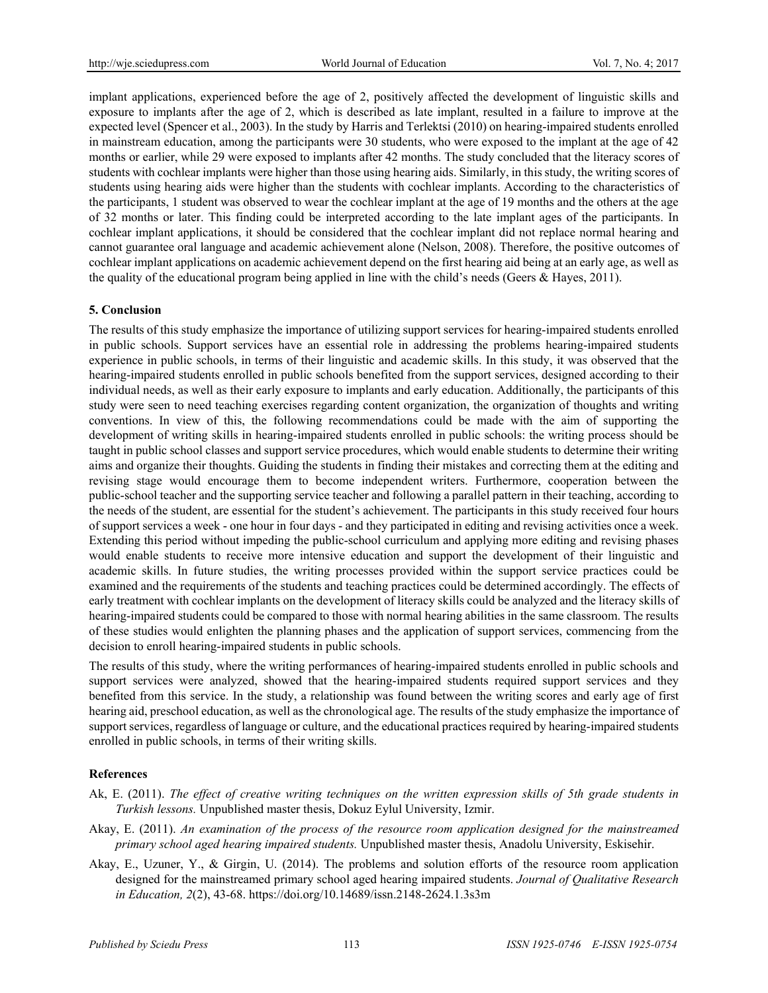implant applications, experienced before the age of 2, positively affected the development of linguistic skills and exposure to implants after the age of 2, which is described as late implant, resulted in a failure to improve at the expected level (Spencer et al., 2003). In the study by Harris and Terlektsi (2010) on hearing-impaired students enrolled in mainstream education, among the participants were 30 students, who were exposed to the implant at the age of 42 months or earlier, while 29 were exposed to implants after 42 months. The study concluded that the literacy scores of students with cochlear implants were higher than those using hearing aids. Similarly, in this study, the writing scores of students using hearing aids were higher than the students with cochlear implants. According to the characteristics of the participants, 1 student was observed to wear the cochlear implant at the age of 19 months and the others at the age of 32 months or later. This finding could be interpreted according to the late implant ages of the participants. In cochlear implant applications, it should be considered that the cochlear implant did not replace normal hearing and cannot guarantee oral language and academic achievement alone (Nelson, 2008). Therefore, the positive outcomes of cochlear implant applications on academic achievement depend on the first hearing aid being at an early age, as well as the quality of the educational program being applied in line with the child's needs (Geers & Hayes, 2011).

# **5. Conclusion**

The results of this study emphasize the importance of utilizing support services for hearing-impaired students enrolled in public schools. Support services have an essential role in addressing the problems hearing-impaired students experience in public schools, in terms of their linguistic and academic skills. In this study, it was observed that the hearing-impaired students enrolled in public schools benefited from the support services, designed according to their individual needs, as well as their early exposure to implants and early education. Additionally, the participants of this study were seen to need teaching exercises regarding content organization, the organization of thoughts and writing conventions. In view of this, the following recommendations could be made with the aim of supporting the development of writing skills in hearing-impaired students enrolled in public schools: the writing process should be taught in public school classes and support service procedures, which would enable students to determine their writing aims and organize their thoughts. Guiding the students in finding their mistakes and correcting them at the editing and revising stage would encourage them to become independent writers. Furthermore, cooperation between the public-school teacher and the supporting service teacher and following a parallel pattern in their teaching, according to the needs of the student, are essential for the student's achievement. The participants in this study received four hours of support services a week - one hour in four days - and they participated in editing and revising activities once a week. Extending this period without impeding the public-school curriculum and applying more editing and revising phases would enable students to receive more intensive education and support the development of their linguistic and academic skills. In future studies, the writing processes provided within the support service practices could be examined and the requirements of the students and teaching practices could be determined accordingly. The effects of early treatment with cochlear implants on the development of literacy skills could be analyzed and the literacy skills of hearing-impaired students could be compared to those with normal hearing abilities in the same classroom. The results of these studies would enlighten the planning phases and the application of support services, commencing from the decision to enroll hearing-impaired students in public schools.

The results of this study, where the writing performances of hearing-impaired students enrolled in public schools and support services were analyzed, showed that the hearing-impaired students required support services and they benefited from this service. In the study, a relationship was found between the writing scores and early age of first hearing aid, preschool education, as well as the chronological age. The results of the study emphasize the importance of support services, regardless of language or culture, and the educational practices required by hearing-impaired students enrolled in public schools, in terms of their writing skills.

### **References**

- Ak, E. (2011). *The effect of creative writing techniques on the written expression skills of 5th grade students in Turkish lessons.* Unpublished master thesis, Dokuz Eylul University, Izmir.
- Akay, E. (2011). *An examination of the process of the resource room application designed for the mainstreamed primary school aged hearing impaired students.* Unpublished master thesis, Anadolu University, Eskisehir.
- Akay, E., Uzuner, Y., & Girgin, U. (2014). The problems and solution efforts of the resource room application designed for the mainstreamed primary school aged hearing impaired students. *Journal of Qualitative Research in Education, 2*(2), 43-68. https://doi.org/10.14689/issn.2148-2624.1.3s3m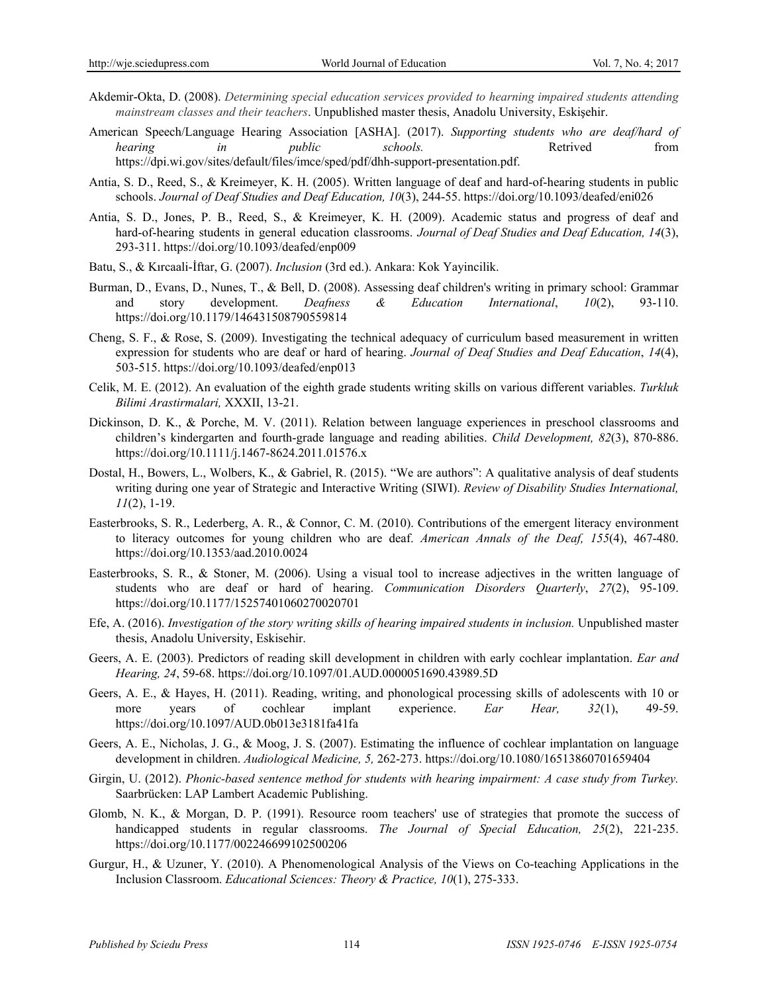- Akdemir-Okta, D. (2008). *Determining special education services provided to hearning impaired students attending mainstream classes and their teachers*. Unpublished master thesis, Anadolu University, Eskişehir.
- American Speech/Language Hearing Association [ASHA]. (2017). *Supporting students who are deaf/hard of hearing in public schools.* Retrived from https://dpi.wi.gov/sites/default/files/imce/sped/pdf/dhh-support-presentation.pdf.
- Antia, S. D., Reed, S., & Kreimeyer, K. H. (2005). Written language of deaf and hard-of-hearing students in public schools. *Journal of Deaf Studies and Deaf Education, 10*(3), 244-55. https://doi.org/10.1093/deafed/eni026
- Antia, S. D., Jones, P. B., Reed, S., & Kreimeyer, K. H. (2009). Academic status and progress of deaf and hard-of-hearing students in general education classrooms. *Journal of Deaf Studies and Deaf Education, 14*(3), 293-311. https://doi.org/10.1093/deafed/enp009
- Batu, S., & Kırcaali-İftar, G. (2007). *Inclusion* (3rd ed.). Ankara: Kok Yayincilik.
- Burman, D., Evans, D., Nunes, T., & Bell, D. (2008). Assessing deaf children's writing in primary school: Grammar and story development. *Deafness & Education International*, *10*(2), 93-110. https://doi.org/10.1179/146431508790559814
- Cheng, S. F., & Rose, S. (2009). Investigating the technical adequacy of curriculum based measurement in written expression for students who are deaf or hard of hearing. *Journal of Deaf Studies and Deaf Education*, *14*(4), 503-515. https://doi.org/10.1093/deafed/enp013
- Celik, M. E. (2012). An evaluation of the eighth grade students writing skills on various different variables. *Turkluk Bilimi Arastirmalari,* XXXII, 13-21.
- Dickinson, D. K., & Porche, M. V. (2011). Relation between language experiences in preschool classrooms and children's kindergarten and fourth-grade language and reading abilities. *Child Development, 82*(3), 870-886. https://doi.org/10.1111/j.1467-8624.2011.01576.x
- Dostal, H., Bowers, L., Wolbers, K., & Gabriel, R. (2015). "We are authors": A qualitative analysis of deaf students writing during one year of Strategic and Interactive Writing (SIWI). *Review of Disability Studies International, 11*(2), 1-19.
- Easterbrooks, S. R., Lederberg, A. R., & Connor, C. M. (2010). Contributions of the emergent literacy environment to literacy outcomes for young children who are deaf. *American Annals of the Deaf, 155*(4), 467-480. https://doi.org/10.1353/aad.2010.0024
- Easterbrooks, S. R., & Stoner, M. (2006). Using a visual tool to increase adjectives in the written language of students who are deaf or hard of hearing. *Communication Disorders Quarterly*, *27*(2), 95-109. https://doi.org/10.1177/15257401060270020701
- Efe, A. (2016). *Investigation of the story writing skills of hearing impaired students in inclusion.* Unpublished master thesis, Anadolu University, Eskisehir.
- Geers, A. E. (2003). Predictors of reading skill development in children with early cochlear implantation. *Ear and Hearing, 24*, 59-68. https://doi.org/10.1097/01.AUD.0000051690.43989.5D
- Geers, A. E., & Hayes, H. (2011). Reading, writing, and phonological processing skills of adolescents with 10 or more years of cochlear implant experience. *Ear Hear, 32*(1), 49-59. https://doi.org/10.1097/AUD.0b013e3181fa41fa
- Geers, A. E., Nicholas, J. G., & Moog, J. S. (2007). Estimating the influence of cochlear implantation on language development in children. *Audiological Medicine, 5,* 262-273. https://doi.org/10.1080/16513860701659404
- Girgin, U. (2012). *Phonic-based sentence method for students with hearing impairment: A case study from Turkey.*  Saarbrücken: LAP Lambert Academic Publishing.
- Glomb, N. K., & Morgan, D. P. (1991). Resource room teachers' use of strategies that promote the success of handicapped students in regular classrooms. *The Journal of Special Education, 25*(2), 221-235. https://doi.org/10.1177/002246699102500206
- Gurgur, H., & Uzuner, Y. (2010). A Phenomenological Analysis of the Views on Co-teaching Applications in the Inclusion Classroom. *Educational Sciences: Theory & Practice, 10*(1), 275-333.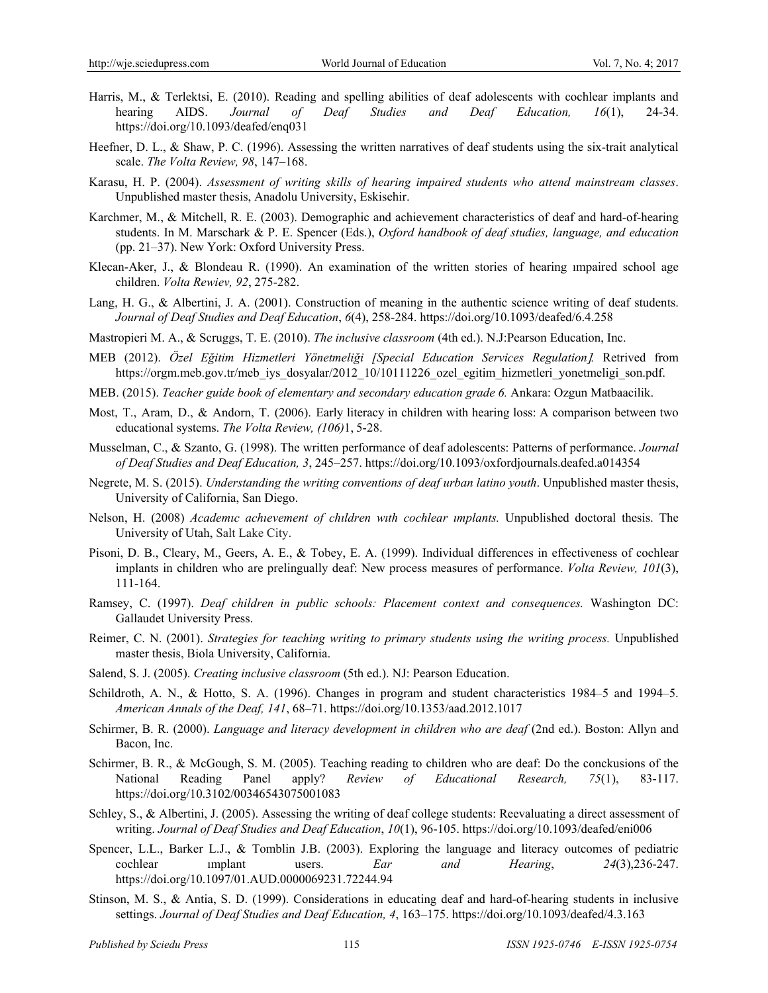- Harris, M., & Terlektsi, E. (2010). Reading and spelling abilities of deaf adolescents with cochlear implants and hearing AIDS. *Journal of Deaf Studies and Deaf Education, 16*(1), 24-34. https://doi.org/10.1093/deafed/enq031
- Heefner, D. L., & Shaw, P. C. (1996). Assessing the written narratives of deaf students using the six-trait analytical scale. *The Volta Review, 98*, 147–168.
- Karasu, H. P. (2004). *Assessment of writing skills of hearing impaired students who attend mainstream classes*. Unpublished master thesis, Anadolu University, Eskisehir.
- Karchmer, M., & Mitchell, R. E. (2003). Demographic and achievement characteristics of deaf and hard-of-hearing students. In M. Marschark & P. E. Spencer (Eds.), *Oxford handbook of deaf studies, language, and education* (pp. 21–37). New York: Oxford University Press.
- Klecan-Aker, J., & Blondeau R. (1990). An examination of the written stories of hearing ımpaired school age children. *Volta Rewiev, 92*, 275-282.
- Lang, H. G., & Albertini, J. A. (2001). Construction of meaning in the authentic science writing of deaf students. *Journal of Deaf Studies and Deaf Education*, *6*(4), 258-284. https://doi.org/10.1093/deafed/6.4.258
- Mastropieri M. A., & Scruggs, T. E. (2010). *The inclusive classroom* (4th ed.). N.J:Pearson Education, Inc.
- MEB (2012). *Özel Eğitim Hizmetleri Yönetmeliği [Special Education Services Regulation.* Retrived from https://orgm.meb.gov.tr/meb\_iys\_dosyalar/2012\_10/10111226\_ozel\_egitim\_hizmetleri\_yonetmeligi\_son.pdf.
- MEB. (2015). *Teacher guide book of elementary and secondary education grade 6.* Ankara: Ozgun Matbaacilik.
- Most, T., Aram, D., & Andorn, T. (2006). Early literacy in children with hearing loss: A comparison between two educational systems. *The Volta Review, (106)*1, 5-28.
- Musselman, C., & Szanto, G. (1998). The written performance of deaf adolescents: Patterns of performance. *Journal of Deaf Studies and Deaf Education, 3*, 245–257. https://doi.org/10.1093/oxfordjournals.deafed.a014354
- Negrete, M. S. (2015). *Understanding the writing conventions of deaf urban latino youth*. Unpublished master thesis, University of California, San Diego.
- Nelson, H. (2008) *Academıc achıevement of chıldren wıth cochlear ımplants.* Unpublished doctoral thesis. The University of Utah, Salt Lake City.
- Pisoni, D. B., Cleary, M., Geers, A. E., & Tobey, E. A. (1999). Individual differences in effectiveness of cochlear implants in children who are prelingually deaf: New process measures of performance. *Volta Review, 101*(3), 111-164.
- Ramsey, C. (1997). *Deaf children in public schools: Placement context and consequences.* Washington DC: Gallaudet University Press.
- Reimer, C. N. (2001). *Strategies for teaching writing to primary students using the writing process.* Unpublished master thesis, Biola University, California.
- Salend, S. J. (2005). *Creating inclusive classroom* (5th ed.). NJ: Pearson Education.
- Schildroth, A. N., & Hotto, S. A. (1996). Changes in program and student characteristics 1984–5 and 1994–5. *American Annals of the Deaf, 141*, 68–71. https://doi.org/10.1353/aad.2012.1017
- Schirmer, B. R. (2000). *Language and literacy development in children who are deaf* (2nd ed.). Boston: Allyn and Bacon, Inc.
- Schirmer, B. R., & McGough, S. M. (2005). Teaching reading to children who are deaf: Do the conckusions of the National Reading Panel apply? *Review of Educational Research, 75*(1), 83-117. https://doi.org/10.3102/00346543075001083
- Schley, S., & Albertini, J. (2005). Assessing the writing of deaf college students: Reevaluating a direct assessment of writing. *Journal of Deaf Studies and Deaf Education*, *10*(1), 96-105. https://doi.org/10.1093/deafed/eni006
- Spencer, L.L., Barker L.J., & Tomblin J.B. (2003). Exploring the language and literacy outcomes of pediatric cochlear ımplant users. *Ear and Hearing*, *24*(3),236-247. https://doi.org/10.1097/01.AUD.0000069231.72244.94
- Stinson, M. S., & Antia, S. D. (1999). Considerations in educating deaf and hard-of-hearing students in inclusive settings. *Journal of Deaf Studies and Deaf Education, 4*, 163–175. https://doi.org/10.1093/deafed/4.3.163